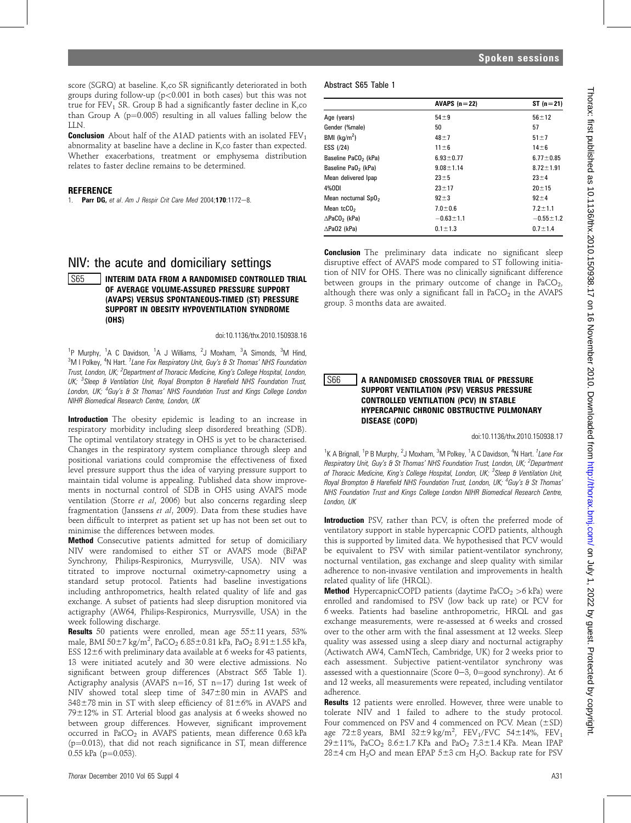score (SGRQ) at baseline. K,co SR significantly deteriorated in both groups during follow-up ( $p < 0.001$  in both cases) but this was not true for  $FEV<sub>1</sub> SR. Group B had a significantly faster decline in K, co$ than Group A ( $p=0.005$ ) resulting in all values falling below the **LIN.** 

**Conclusion** About half of the A1AD patients with an isolated  $FEV<sub>1</sub>$ abnormality at baseline have a decline in K,co faster than expected. Whether exacerbations, treatment or emphysema distribution relates to faster decline remains to be determined.

# **REFERENCE**

1. **Parr DG,** et al. Am J Respir Crit Care Med 2004:170:1172-8.

# NIV: the acute and domiciliary settings

## **S65 INTERIM DATA FROM A RANDOMISED CONTROLLED TRIAL** OF AVERAGE VOLUME-ASSURED PRESSURE SUPPORT (AVAPS) VERSUS SPONTANEOUS-TIMED (ST) PRESSURE SUPPORT IN OBESITY HYPOVENTILATION SYNDROME (OHS)

## doi:10.1136/thx.2010.150938.16

<sup>1</sup>P Murphy, <sup>1</sup>A C Davidson, <sup>1</sup>A J Williams, <sup>2</sup>J Moxham, <sup>3</sup>A Simonds, <sup>3</sup>M Hind, <sup>3</sup>M I Polkey, <sup>4</sup>N Hart. <sup>1</sup> Lane Fox Respiratory Unit, Guy's & St Thomas' NHS Foundation Trust, London, UK; <sup>2</sup>Department of Thoracic Medicine, King's College Hospital, London, UK; <sup>3</sup>Sleep & Ventilation Unit, Royal Brompton & Harefield NHS Foundation Trust, London, UK; <sup>4</sup>Guy's & St Thomas' NHS Foundation Trust and Kings College London NIHR Biomedical Research Centre, London, UK

Introduction The obesity epidemic is leading to an increase in respiratory morbidity including sleep disordered breathing (SDB). The optimal ventilatory strategy in OHS is yet to be characterised. Changes in the respiratory system compliance through sleep and positional variations could compromise the effectiveness of fixed level pressure support thus the idea of varying pressure support to maintain tidal volume is appealing. Published data show improvements in nocturnal control of SDB in OHS using AVAPS mode ventilation (Storre et al, 2006) but also concerns regarding sleep fragmentation (Janssens et al, 2009). Data from these studies have been difficult to interpret as patient set up has not been set out to minimise the differences between modes.

**Method** Consecutive patients admitted for setup of domiciliary NIV were randomised to either ST or AVAPS mode (BiPAP Synchrony, Philips-Respironics, Murrysville, USA). NIV was titrated to improve nocturnal oximetry-capnometry using a standard setup protocol. Patients had baseline investigations including anthropometrics, health related quality of life and gas exchange. A subset of patients had sleep disruption monitored via actigraphy (AW64, Philips-Respironics, Murrysville, USA) in the week following discharge.

**Results** 50 patients were enrolled, mean age  $55 \pm 11$  years, 53% male, BMI 50 $\pm$ 7 kg/m $^2$ , PaCO $_2$  6.85 $\pm$ 0.81 kPa, PaO $_2$  8.91 $\pm$ 1.55 kPa, ESS 12 $\pm$ 6 with preliminary data available at 6 weeks for 43 patients, 13 were initiated acutely and 30 were elective admissions. No significant between group differences (Abstract S65 Table 1). Actigraphy analysis (AVAPS n=16, ST n=17) during 1st week of NIV showed total sleep time of  $347\pm80$  min in AVAPS and  $348\pm78$  min in ST with sleep efficiency of  $81\pm6\%$  in AVAPS and  $79\pm12\%$  in ST. Arterial blood gas analysis at 6 weeks showed no between group differences. However, significant improvement occurred in PaCO<sub>2</sub> in AVAPS patients, mean difference  $0.63$  kPa  $(p=0.013)$ , that did not reach significance in ST, mean difference  $0.55$  kPa ( $p=0.053$ ).

# Abstract S65 Table 1

|                                     | AVAPS $(n=22)$  | $ST(n=21)$      |
|-------------------------------------|-----------------|-----------------|
| Age (years)                         | $54 + 9$        | $56 + 12$       |
| Gender (%male)                      | 50              | 57              |
| BMI $(kq/m2)$                       | $48 + 7$        | $51 + 7$        |
| ESS (/24)                           | $11 \pm 6$      | $14\pm 6$       |
| Baseline PaCO <sub>2</sub> (kPa)    | $6.93 \pm 0.77$ | $6.77 \pm 0.85$ |
| Baseline PaO <sub>2</sub> (kPa)     | $9.08 \pm 1.14$ | $8.72 \pm 1.91$ |
| Mean delivered Ipap                 | $23 + 5$        | $23 + 4$        |
| 4%0DI                               | $23 + 17$       | $20 + 15$       |
| Mean nocturnal SpO <sub>2</sub>     | $92 + 3$        | $92 + 4$        |
| Mean tc $CO2$                       | $7.0 \pm 0.6$   | $7.2 \pm 1.1$   |
| $\triangle$ PaCO <sub>2</sub> (kPa) | $-0.63 \pm 1.1$ | $-0.55 \pm 1.2$ |
| $\triangle$ PaO2 (kPa)              | $0.1 \pm 1.3$   | $0.7 \pm 1.4$   |

**Conclusion** The preliminary data indicate no significant sleep disruptive effect of AVAPS mode compared to ST following initiation of NIV for OHS. There was no clinically significant difference between groups in the primary outcome of change in  $PaCO<sub>2</sub>$ , although there was only a significant fall in  $PaCO<sub>2</sub>$  in the AVAPS group. 3 months data are awaited.

## S66 A RANDOMISED CROSSOVER TRIAL OF PRESSURE SUPPORT VENTILATION (PSV) VERSUS PRESSURE CONTROLLED VENTILATION (PCV) IN STABLE HYPERCAPNIC CHRONIC OBSTRUCTIVE PULMONARY DISEASE (COPD)

#### doi:10.1136/thx.2010.150938.17

<sup>1</sup>K A Brignall, <sup>1</sup>P B Murphy, <sup>2</sup>J Moxham, <sup>3</sup>M Polkey, <sup>1</sup>A C Davidson, <sup>4</sup>N Hart. <sup>1</sup>Lane Fox Respiratory Unit, Guy's & St Thomas' NHS Foundation Trust, London, UK; <sup>2</sup>Department of Thoracic Medicine, King's College Hospital, London, UK; <sup>3</sup>Sleep & Ventilation Unit, Royal Brompton & Harefield NHS Foundation Trust, London, UK; <sup>4</sup>Guy's & St Thomas' NHS Foundation Trust and Kings College London NIHR Biomedical Research Centre, London, UK

Introduction PSV, rather than PCV, is often the preferred mode of ventilatory support in stable hypercapnic COPD patients, although this is supported by limited data. We hypothesised that PCV would be equivalent to PSV with similar patient-ventilator synchrony, nocturnal ventilation, gas exchange and sleep quality with similar adherence to non-invasive ventilation and improvements in health related quality of life (HRQL).

**Method** HypercapnicCOPD patients (daytime  $PaCO<sub>2</sub> > 6$  kPa) were enrolled and randomised to PSV (low back up rate) or PCV for 6 weeks. Patients had baseline anthropometric, HRQL and gas exchange measurements, were re-assessed at 6 weeks and crossed over to the other arm with the final assessment at 12 weeks. Sleep quality was assessed using a sleep diary and nocturnal actigraphy (Actiwatch AW4, CamNTech, Cambridge, UK) for 2 weeks prior to each assessment. Subjective patient-ventilator synchrony was assessed with a questionnaire (Score  $0-3$ ,  $0=$ good synchrony). At 6 and 12 weeks, all measurements were repeated, including ventilator adherence.

Results 12 patients were enrolled. However, three were unable to tolerate NIV and 1 failed to adhere to the study protocol. Four commenced on PSV and 4 commenced on PCV. Mean  $(\pm SD)$ age  $72\pm8$  years, BMI  $32\pm9$  kg/m<sup>2</sup>, FEV<sub>1</sub>/FVC  $54\pm14\%$ , FEV<sub>1</sub> 29±11%, PaCO<sub>2</sub> 8.6±1.7 KPa and PaO<sub>2</sub> 7.3±1.4 KPa. Mean IPAP  $28\pm4$  cm H<sub>2</sub>O and mean EPAP 5 $\pm3$  cm H<sub>2</sub>O. Backup rate for PSV